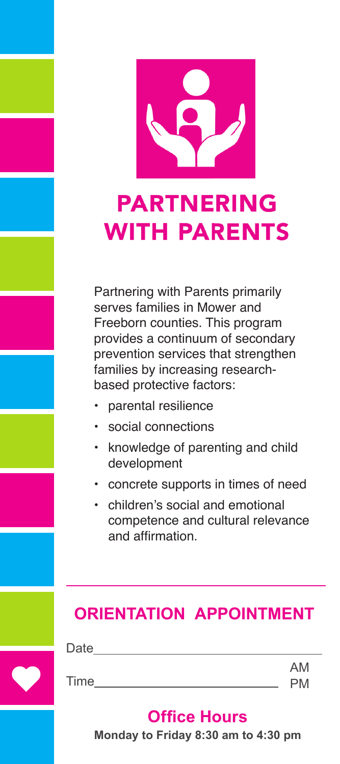

# **PARTNERING WITH PARENTS**

Partnering with Parents primarily serves families in Mower and Freeborn counties. This program provides a continuum of secondary prevention services that strengthen families by increasing researchbased protective factors:

- parental resilience
- social connections
- knowledge of parenting and child development
- concrete supports in times of need
- children's social and emotional competence and cultural relevance and affirmation

### **ORIENTATION APPOINTMENT**

| Date |           |
|------|-----------|
|      | AM        |
| Time | <b>PM</b> |

### **Office Hours**

**Monday to Friday 8:30 am to 4:30 pm**